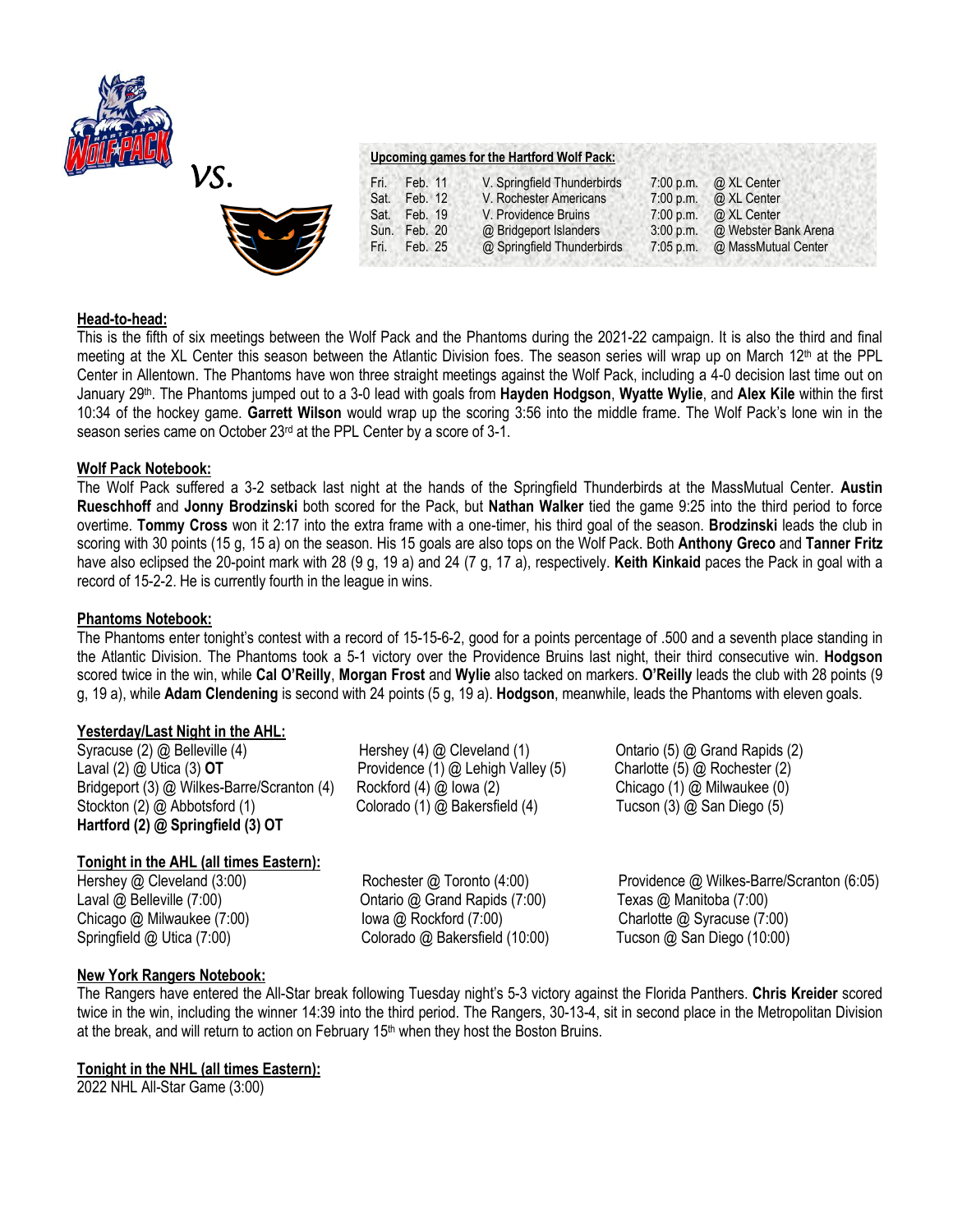

*VS.* 



# **Head-to-head:**

This is the fifth of six meetings between the Wolf Pack and the Phantoms during the 2021-22 campaign. It is also the third and final meeting at the XL Center this season between the Atlantic Division foes. The season series will wrap up on March 12th at the PPL Center in Allentown. The Phantoms have won three straight meetings against the Wolf Pack, including a 4-0 decision last time out on January 29<sup>th</sup>. The Phantoms jumped out to a 3-0 lead with goals from **Hayden Hodgson, Wyatte Wylie**, and Alex Kile within the first 10:34 of the hockey game. **Garrett Wilson** would wrap up the scoring 3:56 into the middle frame. The Wolf Pack's lone win in the season series came on October 23<sup>rd</sup> at the PPL Center by a score of 3-1.

# **Wolf Pack Notebook:**

The Wolf Pack suffered a 3-2 setback last night at the hands of the Springfield Thunderbirds at the MassMutual Center. **Austin Rueschhoff** and **Jonny Brodzinski** both scored for the Pack, but **Nathan Walker** tied the game 9:25 into the third period to force overtime. **Tommy Cross** won it 2:17 into the extra frame with a one-timer, his third goal of the season. **Brodzinski** leads the club in scoring with 30 points (15 g, 15 a) on the season. His 15 goals are also tops on the Wolf Pack. Both **Anthony Greco** and **Tanner Fritz**  have also eclipsed the 20-point mark with 28 (9 g, 19 a) and 24 (7 g, 17 a), respectively. **Keith Kinkaid** paces the Pack in goal with a record of 15-2-2. He is currently fourth in the league in wins.

## **Phantoms Notebook:**

The Phantoms enter tonight's contest with a record of 15-15-6-2, good for a points percentage of .500 and a seventh place standing in the Atlantic Division. The Phantoms took a 5-1 victory over the Providence Bruins last night, their third consecutive win. **Hodgson**  scored twice in the win, while **Cal O'Reilly**, **Morgan Frost** and **Wylie** also tacked on markers. **O'Reilly** leads the club with 28 points (9 g, 19 a), while **Adam Clendening** is second with 24 points (5 g, 19 a). **Hodgson**, meanwhile, leads the Phantoms with eleven goals.

## **Yesterday/Last Night in the AHL:**

Syracuse (2) @ Belleville (4) Hershey (4) @ Cleveland (1) Ontario (5) @ Grand Rapids (2) Laval (2) @ Utica (3) **OT** Providence (1) @ Lehigh Valley (5) Charlotte (5) @ Rochester (2) Bridgeport (3) @ Wilkes-Barre/Scranton (4) Rockford (4) @ Iowa (2) Chicago (1) @ Milwaukee (0) Stockton (2) @ Abbotsford (1) Colorado (1) @ Bakersfield (4) Tucson (3) @ San Diego (5) **Hartford (2) @ Springfield (3) OT**

**Tonight in the AHL (all times Eastern):**

Laval @ Belleville (7:00) Christine @ Grand Rapids (7:00) Texas @ Manitoba (7:00)

Hershey @ Cleveland (3:00) Rochester @ Toronto (4:00) Providence @ Wilkes-Barre/Scranton (6:05) Chicago @ Milwaukee (7:00) Iowa @ Rockford (7:00) Charlotte @ Syracuse (7:00) Springfield @ Utica (7:00) Colorado @ Bakersfield (10:00) Tucson @ San Diego (10:00)

## **New York Rangers Notebook:**

The Rangers have entered the All-Star break following Tuesday night's 5-3 victory against the Florida Panthers. **Chris Kreider** scored twice in the win, including the winner 14:39 into the third period. The Rangers, 30-13-4, sit in second place in the Metropolitan Division at the break, and will return to action on February  $15<sup>th</sup>$  when they host the Boston Bruins.

## **Tonight in the NHL (all times Eastern):**

2022 NHL All-Star Game (3:00)